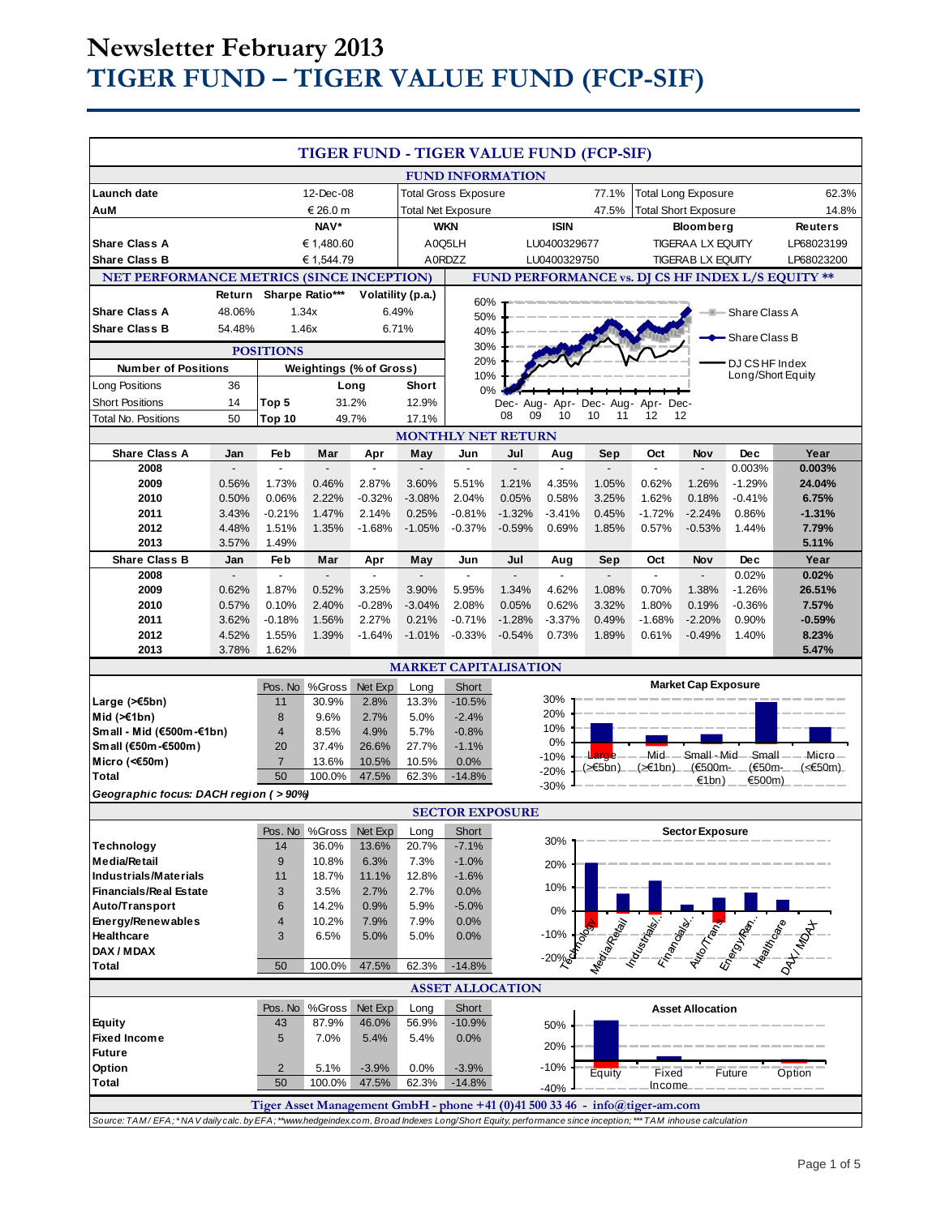# **Newsletter February 2013 TIGER FUND – TIGER VALUE FUND (FCP-SIF)**

|                                                                                                                                                           |            |                |                |                                      |                | TIGER FUND - TIGER VALUE FUND (FCP-SIF) |                          |                             |           |                                                                             |                            |                                                   |                                                 |
|-----------------------------------------------------------------------------------------------------------------------------------------------------------|------------|----------------|----------------|--------------------------------------|----------------|-----------------------------------------|--------------------------|-----------------------------|-----------|-----------------------------------------------------------------------------|----------------------------|---------------------------------------------------|-------------------------------------------------|
|                                                                                                                                                           |            |                |                |                                      |                |                                         |                          |                             |           |                                                                             |                            |                                                   |                                                 |
|                                                                                                                                                           |            |                |                |                                      |                | <b>FUND INFORMATION</b>                 |                          |                             |           |                                                                             |                            |                                                   |                                                 |
| Launch date                                                                                                                                               | 12-Dec-08  |                |                | 77.1%<br><b>Total Gross Exposure</b> |                |                                         |                          | <b>Total Long Exposure</b>  |           |                                                                             | 62.3%                      |                                                   |                                                 |
| AuM                                                                                                                                                       | € 26.0 m   |                |                | <b>Total Net Exposure</b>            |                |                                         | 47.5%                    | <b>Total Short Exposure</b> |           |                                                                             | 14.8%                      |                                                   |                                                 |
|                                                                                                                                                           |            | NAV*           |                |                                      | <b>WKN</b>     |                                         |                          | <b>ISIN</b>                 |           | <b>Bloomberg</b>                                                            |                            |                                                   | Reuters                                         |
| <b>Share Class A</b>                                                                                                                                      | € 1,480.60 |                | A0Q5LH         |                                      | LU0400329677   |                                         | <b>TIGERAA LX EQUITY</b> |                             |           | LP68023199                                                                  |                            |                                                   |                                                 |
| <b>Share Class B</b>                                                                                                                                      |            | € 1,544.79     |                | A0RDZZ                               |                | LU0400329750                            |                          | <b>TIGERAB LX EQUITY</b>    |           |                                                                             | LP68023200                 |                                                   |                                                 |
| <b>NET PERFORMANCE METRICS (SINCE INCEPTION)</b>                                                                                                          |            |                |                |                                      |                |                                         |                          |                             |           |                                                                             |                            | FUND PERFORMANCE vs. DJ CS HF INDEX L/S EQUITY ** |                                                 |
| Sharpe Ratio***<br>Return<br>Volatility (p.a.)                                                                                                            |            |                |                |                                      |                |                                         |                          |                             |           |                                                                             |                            |                                                   |                                                 |
| <b>Share Class A</b>                                                                                                                                      | 48.06%     | 1.34x<br>6.49% |                |                                      | 60%            |                                         |                          |                             |           |                                                                             | Share Class A              |                                                   |                                                 |
| <b>Share Class B</b>                                                                                                                                      | 54.48%     | 6.71%<br>1.46x |                | 50%                                  |                |                                         |                          |                             |           |                                                                             |                            |                                                   |                                                 |
|                                                                                                                                                           |            |                |                |                                      |                | 40%<br>Share Class B<br>30%             |                          |                             |           |                                                                             |                            |                                                   |                                                 |
| <b>POSITIONS</b>                                                                                                                                          |            |                |                |                                      |                | 20%                                     |                          |                             |           |                                                                             |                            |                                                   |                                                 |
| <b>Number of Positions</b>                                                                                                                                |            |                |                | <b>Weightings (% of Gross)</b>       |                | 10%                                     |                          |                             |           |                                                                             |                            | DJ CS HF Index<br>Long/Short Equity               |                                                 |
| Long Positions                                                                                                                                            | 36         |                | Long           |                                      | Short          |                                         | 0%                       |                             |           |                                                                             |                            |                                                   |                                                 |
| <b>Short Positions</b>                                                                                                                                    | 14         | Top 5          |                | 31.2%                                | 12.9%          |                                         | Dec-                     | Aug- Apr-                   | Dec- Aug- | Dec-<br>Apr-                                                                |                            |                                                   |                                                 |
| <b>Total No. Positions</b>                                                                                                                                | 50         | Top 10         |                | 49.7%                                | 17.1%          |                                         | 09<br>08                 | 10                          | 10<br>11  | 12                                                                          | 12                         |                                                   |                                                 |
| <b>MONTHLY NET RETURN</b>                                                                                                                                 |            |                |                |                                      |                |                                         |                          |                             |           |                                                                             |                            |                                                   |                                                 |
| <b>Share Class A</b>                                                                                                                                      | Jan        | Feb            | Mar            | Apr                                  | May            | Jun                                     | Jul                      | Aug                         | Sep       | Oct                                                                         | Nov                        | <b>Dec</b>                                        | Year                                            |
| 2008                                                                                                                                                      |            | $\overline{a}$ | $\overline{a}$ | $\blacksquare$                       | $\overline{a}$ | $\overline{a}$                          | $\overline{a}$           | $\overline{a}$              |           | $\overline{a}$                                                              | $\overline{a}$             | 0.003%                                            | 0.003%                                          |
| 2009                                                                                                                                                      | 0.56%      | 1.73%          | 0.46%          | 2.87%                                | 3.60%          | 5.51%                                   | 1.21%                    | 4.35%                       | 1.05%     | 0.62%                                                                       | 1.26%                      | $-1.29%$                                          | 24.04%                                          |
| 2010                                                                                                                                                      | 0.50%      | 0.06%          | 2.22%          | $-0.32%$                             | $-3.08%$       | 2.04%                                   | 0.05%                    | 0.58%                       | 3.25%     | 1.62%                                                                       | 0.18%                      | $-0.41%$                                          | 6.75%                                           |
| 2011                                                                                                                                                      | 3.43%      | $-0.21%$       | 1.47%          | 2.14%                                | 0.25%          | $-0.81%$                                | $-1.32%$                 | $-3.41%$                    | 0.45%     | $-1.72%$                                                                    | $-2.24%$                   | 0.86%                                             | $-1.31%$                                        |
| 2012                                                                                                                                                      | 4.48%      | 1.51%          | 1.35%          | $-1.68%$                             | $-1.05%$       | $-0.37%$                                | $-0.59%$                 | 0.69%                       | 1.85%     | 0.57%                                                                       | $-0.53%$                   | 1.44%                                             | 7.79%                                           |
| 2013                                                                                                                                                      | 3.57%      | 1.49%          |                |                                      |                |                                         |                          |                             |           |                                                                             |                            |                                                   | 5.11%                                           |
| <b>Share Class B</b>                                                                                                                                      | Jan        | Feb            | Mar            | Apr                                  | May            | Jun                                     | Jul                      | Aug                         | Sep       | Oct                                                                         | Nov                        | <b>Dec</b>                                        | Year                                            |
| 2008                                                                                                                                                      |            |                |                |                                      |                | ÷,                                      |                          |                             |           | $\blacksquare$                                                              | $\overline{a}$             | 0.02%                                             | 0.02%                                           |
| 2009                                                                                                                                                      | 0.62%      | 1.87%          | 0.52%          | 3.25%                                | 3.90%          | 5.95%                                   | 1.34%                    | 4.62%                       | 1.08%     | 0.70%                                                                       | 1.38%                      | $-1.26%$                                          | 26.51%                                          |
| 2010                                                                                                                                                      | 0.57%      | 0.10%          | 2.40%          | $-0.28%$                             | $-3.04%$       | 2.08%                                   | 0.05%                    | 0.62%                       | 3.32%     | 1.80%                                                                       | 0.19%                      | $-0.36%$                                          | 7.57%                                           |
| 2011                                                                                                                                                      | 3.62%      | $-0.18%$       | 1.56%          | 2.27%                                | 0.21%          | $-0.71%$                                | $-1.28%$                 | $-3.37%$                    | 0.49%     | $-1.68%$                                                                    | $-2.20%$                   | 0.90%                                             | $-0.59%$                                        |
| 2012                                                                                                                                                      | 4.52%      | 1.55%          | 1.39%          | $-1.64%$                             | $-1.01%$       | $-0.33%$                                | $-0.54%$                 | 0.73%                       | 1.89%     | 0.61%                                                                       | $-0.49%$                   | 1.40%                                             | 8.23%                                           |
| 2013                                                                                                                                                      | 3.78%      | 1.62%          |                |                                      |                |                                         |                          |                             |           |                                                                             |                            |                                                   | 5.47%                                           |
|                                                                                                                                                           |            |                |                |                                      |                | <b>MARKET CAPITALISATION</b>            |                          |                             |           |                                                                             |                            |                                                   |                                                 |
|                                                                                                                                                           |            | Pos. No        | %Gross         | Net Exp                              | Long           | Short                                   |                          |                             |           |                                                                             | <b>Market Cap Exposure</b> |                                                   |                                                 |
| Large $($ $\leq$ 5bn)                                                                                                                                     |            | 11             | 30.9%          | 2.8%                                 | 13.3%          | $-10.5%$                                |                          | 30%                         |           |                                                                             |                            |                                                   |                                                 |
| Mid $(\ge 1$ bn)                                                                                                                                          |            | 8              | 9.6%           | 2.7%                                 | 5.0%           | $-2.4%$                                 |                          | 20%                         |           |                                                                             |                            |                                                   |                                                 |
| Small - Mid (€500m-€1bn)                                                                                                                                  |            | $\overline{4}$ | 8.5%           | 4.9%                                 | 5.7%           | $-0.8%$                                 |                          | 10%                         |           |                                                                             |                            |                                                   |                                                 |
| Small (€50m-€500m)                                                                                                                                        |            | 20             | 37.4%          | 26.6%                                | 27.7%          | $-1.1%$                                 |                          | 0%                          | arge      |                                                                             |                            |                                                   | Mid- - Small-Mid- Small - - Micro -             |
| Micro (< $60$ m)                                                                                                                                          |            | $\overline{7}$ | 13.6%          | 10.5%                                | 10.5%          | 0.0%                                    |                          | $-10%$<br>$-20%$            | (>€5bn)_  |                                                                             | (>€1bn) (€500m-            | (€50m-                                            | (<€50m)                                         |
| Total                                                                                                                                                     |            | 50             | 100.0%         | 47.5%                                | 62.3%          | $-14.8%$                                |                          | $-30%$                      |           |                                                                             | €1bn)                      | €500m)                                            |                                                 |
| Geographic focus: DACH region (>90%)                                                                                                                      |            |                |                |                                      |                |                                         |                          |                             |           |                                                                             |                            |                                                   |                                                 |
| <b>SECTOR EXPOSURE</b>                                                                                                                                    |            |                |                |                                      |                |                                         |                          |                             |           |                                                                             |                            |                                                   |                                                 |
|                                                                                                                                                           |            |                | Pos. No %Gross | Net Exp                              | Long           | Short                                   |                          |                             |           |                                                                             | <b>Sector Exposure</b>     |                                                   |                                                 |
| Technology                                                                                                                                                |            | 14             | 36.0%          | 13.6%                                | 20.7%          | $-7.1%$                                 |                          | 30%                         |           |                                                                             |                            |                                                   |                                                 |
| <b>Media/Retail</b>                                                                                                                                       |            | 9              | 10.8%          | 6.3%                                 | 7.3%           | $-1.0%$                                 |                          | 20%                         |           |                                                                             |                            |                                                   |                                                 |
| <b>Industrials/Materials</b>                                                                                                                              |            | 11             | 18.7%          | 11.1%                                | 12.8%          | $-1.6%$                                 |                          |                             |           |                                                                             |                            |                                                   |                                                 |
| <b>Financials/Real Estate</b>                                                                                                                             |            | 3              | 3.5%           | 2.7%                                 | 2.7%           | 0.0%                                    |                          | 10%                         |           |                                                                             |                            |                                                   |                                                 |
| Auto/Transport                                                                                                                                            |            | 6              | 14.2%          | 0.9%                                 | 5.9%           | $-5.0%$                                 |                          | 0%                          |           |                                                                             |                            |                                                   |                                                 |
| Energy/Renewables                                                                                                                                         |            | 4              | 10.2%          | 7.9%                                 | 7.9%           | 0.0%                                    |                          |                             |           |                                                                             |                            |                                                   |                                                 |
| <b>Healthcare</b>                                                                                                                                         |            | 3              | 6.5%           | 5.0%                                 | 5.0%           | 0.0%                                    |                          | $-10%$                      |           |                                                                             |                            |                                                   | Registration of the contract of the contract of |
| DAX / MDAX                                                                                                                                                |            |                |                |                                      |                |                                         |                          |                             |           |                                                                             |                            |                                                   |                                                 |
| Total                                                                                                                                                     |            | 50             | 100.0%         | 47.5%                                | 62.3%          | $-14.8%$                                |                          |                             |           |                                                                             |                            |                                                   |                                                 |
|                                                                                                                                                           |            |                |                |                                      |                | <b>ASSET ALLOCATION</b>                 |                          |                             |           |                                                                             |                            |                                                   |                                                 |
|                                                                                                                                                           |            | Pos. No        | %Gross         | Net Exp                              | Long           | Short                                   |                          |                             |           |                                                                             | <b>Asset Allocation</b>    |                                                   |                                                 |
| <b>Equity</b>                                                                                                                                             |            | 43             | 87.9%          | 46.0%                                | 56.9%          | $-10.9%$                                |                          |                             |           |                                                                             |                            |                                                   |                                                 |
| <b>Fixed Income</b>                                                                                                                                       |            | 5              | 7.0%           | 5.4%                                 | 5.4%           | 0.0%                                    |                          | 50%                         |           |                                                                             |                            |                                                   |                                                 |
| <b>Future</b>                                                                                                                                             |            |                |                |                                      |                |                                         |                          | 20%                         |           |                                                                             |                            |                                                   |                                                 |
| Option                                                                                                                                                    |            | $\overline{2}$ | 5.1%           | $-3.9%$                              | 0.0%           | $-3.9%$                                 |                          | $-10%$                      |           |                                                                             |                            |                                                   |                                                 |
| <b>Total</b>                                                                                                                                              |            | 50             | 100.0%         | 47.5%                                | 62.3%          | $-14.8%$                                |                          |                             | Equity    | Fixed<br>Income                                                             |                            | Future                                            | Option                                          |
|                                                                                                                                                           |            |                |                |                                      |                |                                         |                          | $-40%$                      |           |                                                                             |                            |                                                   |                                                 |
|                                                                                                                                                           |            |                |                |                                      |                |                                         |                          |                             |           | Tiger Asset Management GmbH - phone +41 (0)41 500 33 46 - info@tiger-am.com |                            |                                                   |                                                 |
| Source: TAM/EFA; *NAV daily calc. by EFA; **www.hedgeindex.com, Broad Indexes Long/Short Equity, performance since inception; *** TAM inhouse calculation |            |                |                |                                      |                |                                         |                          |                             |           |                                                                             |                            |                                                   |                                                 |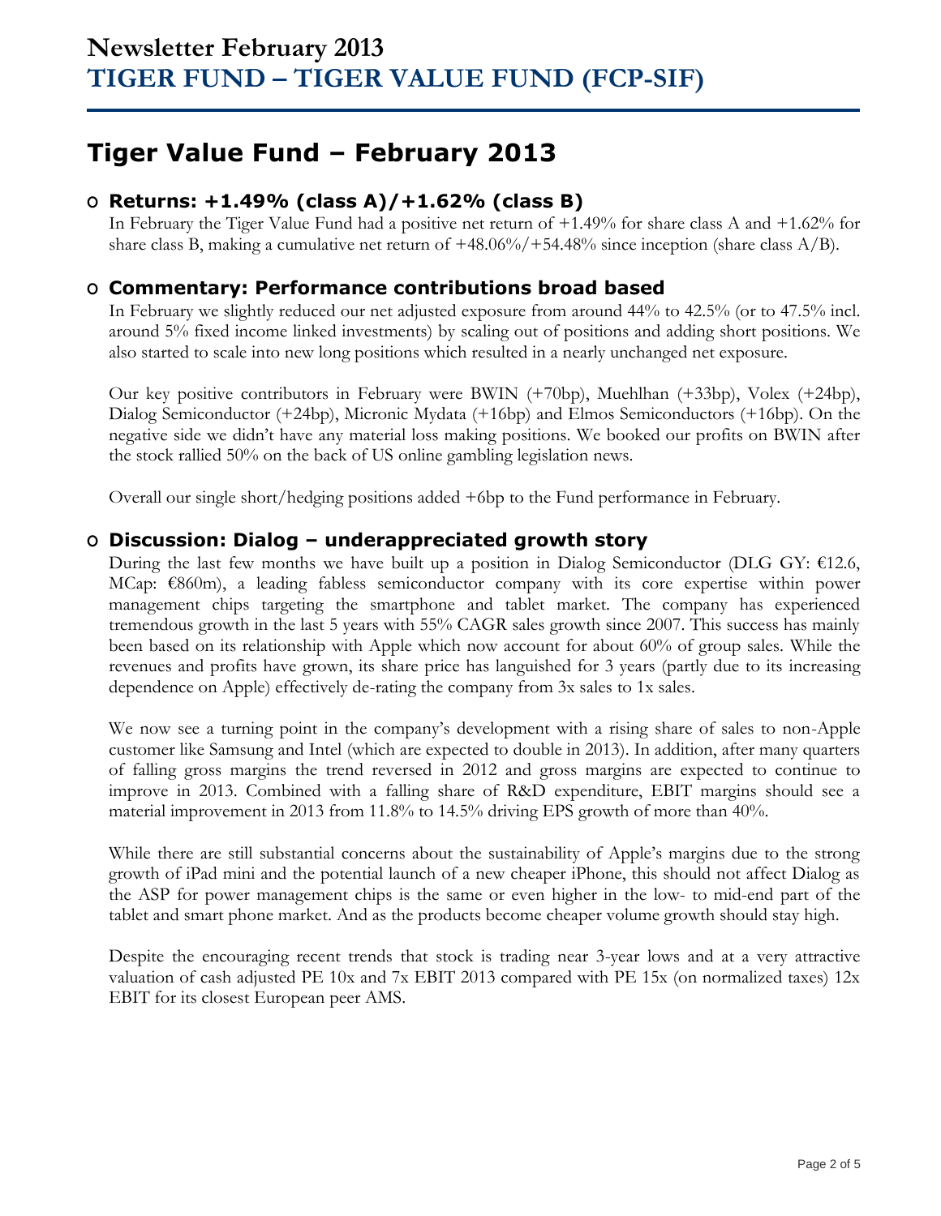# **Tiger Value Fund – February 2013**

## **O Returns: +1.49% (class A)/+1.62% (class B)**

In February the Tiger Value Fund had a positive net return of +1.49% for share class A and +1.62% for share class B, making a cumulative net return of  $+48.06\%/+54.48\%$  since inception (share class A/B).

### **O Commentary: Performance contributions broad based**

In February we slightly reduced our net adjusted exposure from around 44% to 42.5% (or to 47.5% incl. around 5% fixed income linked investments) by scaling out of positions and adding short positions. We also started to scale into new long positions which resulted in a nearly unchanged net exposure.

Our key positive contributors in February were BWIN (+70bp), Muehlhan (+33bp), Volex (+24bp), Dialog Semiconductor (+24bp), Micronic Mydata (+16bp) and Elmos Semiconductors (+16bp). On the negative side we didn't have any material loss making positions. We booked our profits on BWIN after the stock rallied 50% on the back of US online gambling legislation news.

Overall our single short/hedging positions added +6bp to the Fund performance in February.

### **O Discussion: Dialog – underappreciated growth story**

During the last few months we have built up a position in Dialog Semiconductor (DLG GY: €12.6, MCap: €860m), a leading fabless semiconductor company with its core expertise within power management chips targeting the smartphone and tablet market. The company has experienced tremendous growth in the last 5 years with 55% CAGR sales growth since 2007. This success has mainly been based on its relationship with Apple which now account for about 60% of group sales. While the revenues and profits have grown, its share price has languished for 3 years (partly due to its increasing dependence on Apple) effectively de-rating the company from 3x sales to 1x sales.

We now see a turning point in the company's development with a rising share of sales to non-Apple customer like Samsung and Intel (which are expected to double in 2013). In addition, after many quarters of falling gross margins the trend reversed in 2012 and gross margins are expected to continue to improve in 2013. Combined with a falling share of R&D expenditure, EBIT margins should see a material improvement in 2013 from 11.8% to 14.5% driving EPS growth of more than 40%.

While there are still substantial concerns about the sustainability of Apple's margins due to the strong growth of iPad mini and the potential launch of a new cheaper iPhone, this should not affect Dialog as the ASP for power management chips is the same or even higher in the low- to mid-end part of the tablet and smart phone market. And as the products become cheaper volume growth should stay high.

Despite the encouraging recent trends that stock is trading near 3-year lows and at a very attractive valuation of cash adjusted PE 10x and 7x EBIT 2013 compared with PE 15x (on normalized taxes) 12x EBIT for its closest European peer AMS.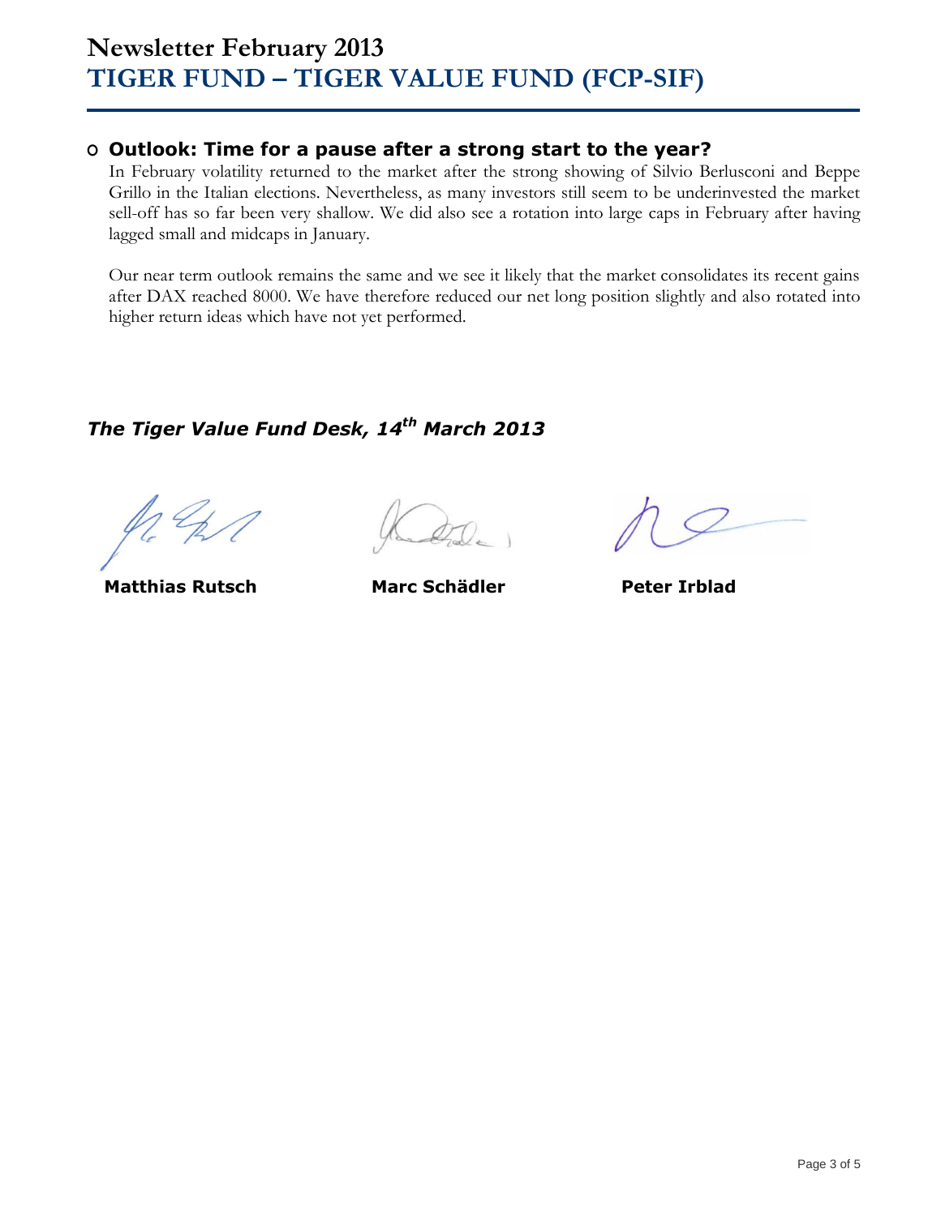## **O Outlook: Time for a pause after a strong start to the year?**

In February volatility returned to the market after the strong showing of Silvio Berlusconi and Beppe Grillo in the Italian elections. Nevertheless, as many investors still seem to be underinvested the market sell-off has so far been very shallow. We did also see a rotation into large caps in February after having lagged small and midcaps in January.

Our near term outlook remains the same and we see it likely that the market consolidates its recent gains after DAX reached 8000. We have therefore reduced our net long position slightly and also rotated into higher return ideas which have not yet performed.

## *The Tiger Value Fund Desk, 14 th March 2013*

**Matthias Rutsch Marc Schädler Peter Irblad**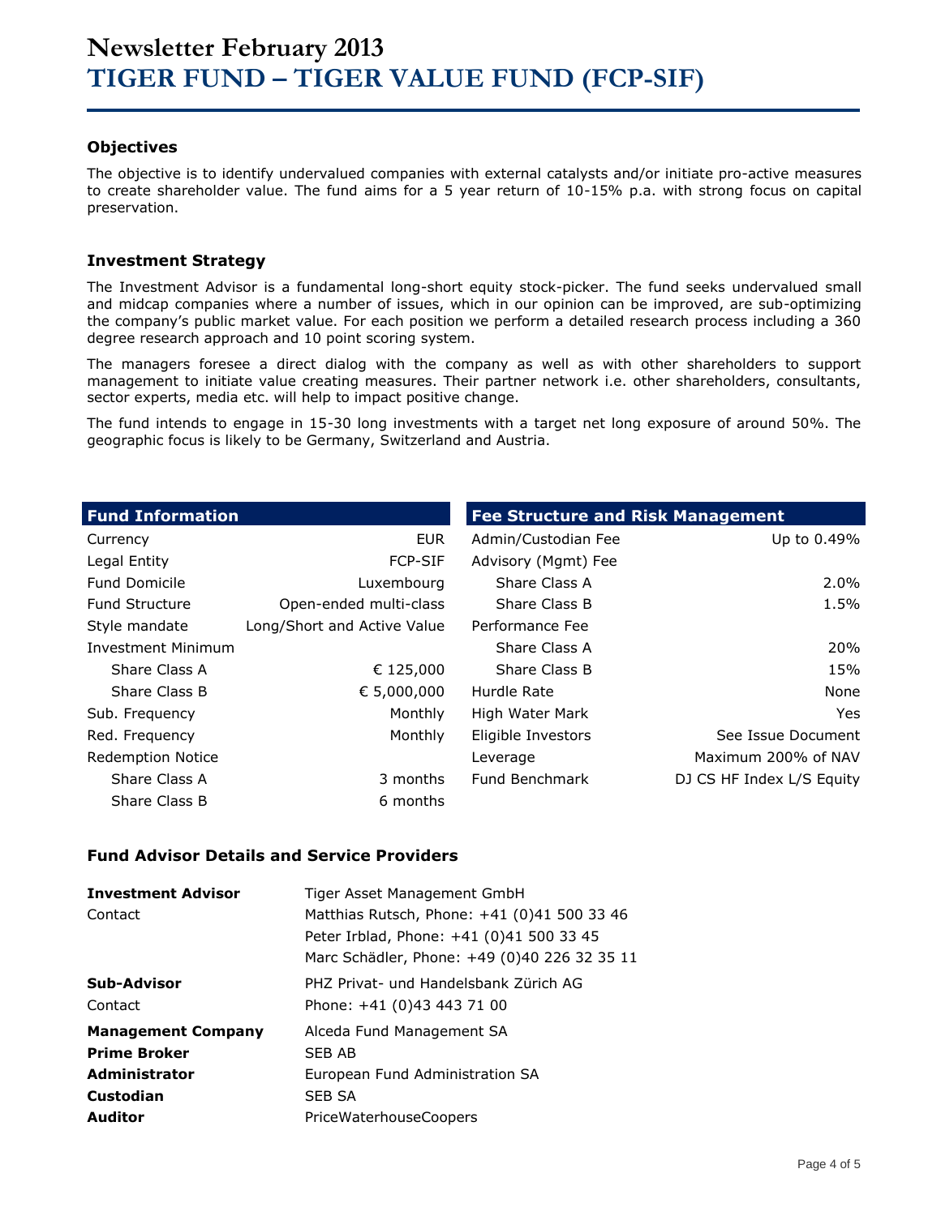### **Objectives**

The objective is to identify undervalued companies with external catalysts and/or initiate pro-active measures to create shareholder value. The fund aims for a 5 year return of 10-15% p.a. with strong focus on capital preservation.

### **Investment Strategy**

The Investment Advisor is a fundamental long-short equity stock-picker. The fund seeks undervalued small and midcap companies where a number of issues, which in our opinion can be improved, are sub-optimizing the company's public market value. For each position we perform a detailed research process including a 360 degree research approach and 10 point scoring system.

The managers foresee a direct dialog with the company as well as with other shareholders to support management to initiate value creating measures. Their partner network i.e. other shareholders, consultants, sector experts, media etc. will help to impact positive change.

The fund intends to engage in 15-30 long investments with a target net long exposure of around 50%. The geographic focus is likely to be Germany, Switzerland and Austria.

| <b>Fund Information</b>  |                             | <b>Fee Structure and Risk Management</b> |                           |
|--------------------------|-----------------------------|------------------------------------------|---------------------------|
| Currency                 | <b>EUR</b>                  | Admin/Custodian Fee                      | Up to 0.49%               |
| Legal Entity             | <b>FCP-SIF</b>              | Advisory (Mgmt) Fee                      |                           |
| <b>Fund Domicile</b>     | Luxembourg                  | Share Class A                            | $2.0\%$                   |
| <b>Fund Structure</b>    | Open-ended multi-class      | Share Class B                            | 1.5%                      |
| Style mandate            | Long/Short and Active Value | Performance Fee                          |                           |
| Investment Minimum       |                             | Share Class A                            | 20%                       |
| Share Class A            | € 125,000                   | Share Class B                            | 15%                       |
| Share Class B            | € 5,000,000                 | Hurdle Rate                              | None                      |
| Sub. Frequency           | Monthly                     | High Water Mark                          | Yes                       |
| Red. Frequency           | Monthly                     | Eligible Investors                       | See Issue Document        |
| <b>Redemption Notice</b> |                             | Leverage                                 | Maximum 200% of NAV       |
| Share Class A            | 3 months                    | Fund Benchmark                           | DJ CS HF Index L/S Equity |
| Share Class B            | 6 months                    |                                          |                           |

### **Fund Advisor Details and Service Providers**

| <b>Investment Advisor</b><br>Contact | Tiger Asset Management GmbH<br>Matthias Rutsch, Phone: +41 (0)41 500 33 46<br>Peter Irblad, Phone: +41 (0)41 500 33 45<br>Marc Schädler, Phone: +49 (0)40 226 32 35 11 |
|--------------------------------------|------------------------------------------------------------------------------------------------------------------------------------------------------------------------|
| Sub-Advisor                          | PHZ Privat- und Handelsbank Zürich AG                                                                                                                                  |
| Contact                              | Phone: +41 (0)43 443 71 00                                                                                                                                             |
| <b>Management Company</b>            | Alceda Fund Management SA                                                                                                                                              |
| <b>Prime Broker</b>                  | SFB AB                                                                                                                                                                 |
| <b>Administrator</b>                 | European Fund Administration SA                                                                                                                                        |
| Custodian                            | <b>SEB SA</b>                                                                                                                                                          |
| <b>Auditor</b>                       | PriceWaterhouseCoopers                                                                                                                                                 |